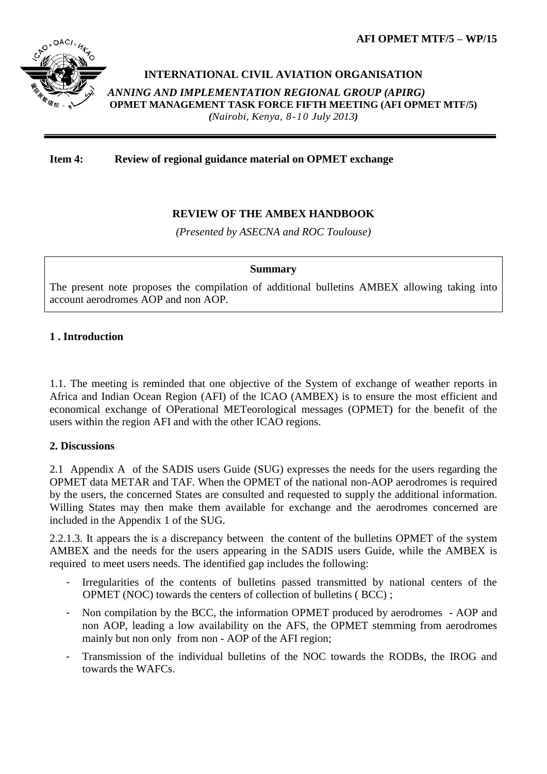**AFI OPMET MTF/5 – WP/15**



### **INTERNATIONAL CIVIL AVIATION ORGANISATION**

*ANNING AND IMPLEMENTATION REGIONAL GROUP (APIRG)* **AFI OPMET MANAGEMENT TASK FORCE FIFTH MEETING (AFI OPMET MTF/5)**  *(Nairobi, Kenya, 8-10 July 2013)*

#### **Item 4: Review of regional guidance material on OPMET exchange**

### **REVIEW OF THE AMBEX HANDBOOK**

*(Presented by ASECNA and ROC Toulouse)*

#### **Summary**

The present note proposes the compilation of additional bulletins AMBEX allowing taking into account aerodromes AOP and non AOP.

### **1 . Introduction**

1.1. The meeting is reminded that one objective of the System of exchange of weather reports in Africa and Indian Ocean Region (AFI) of the ICAO (AMBEX) is to ensure the most efficient and economical exchange of OPerational METeorological messages (OPMET) for the benefit of the users within the region AFI and with the other ICAO regions.

#### **2. Discussions**

2.1 Appendix A of the SADIS users Guide (SUG) expresses the needs for the users regarding the OPMET data METAR and TAF. When the OPMET of the national non-AOP aerodromes is required by the users, the concerned States are consulted and requested to supply the additional information. Willing States may then make them available for exchange and the aerodromes concerned are included in the Appendix 1 of the SUG.

2.2.1.3. It appears the is a discrepancy between the content of the bulletins OPMET of the system AMBEX and the needs for the users appearing in the SADIS users Guide, while the AMBEX is required to meet users needs. The identified gap includes the following:

- Irregularities of the contents of bulletins passed transmitted by national centers of the OPMET (NOC) towards the centers of collection of bulletins ( BCC) ;
- Non compilation by the BCC, the information OPMET produced by aerodromes AOP and non AOP, leading a low availability on the AFS, the OPMET stemming from aerodromes mainly but non only from non - AOP of the AFI region;
- Transmission of the individual bulletins of the NOC towards the RODBs, the IROG and towards the WAFCs.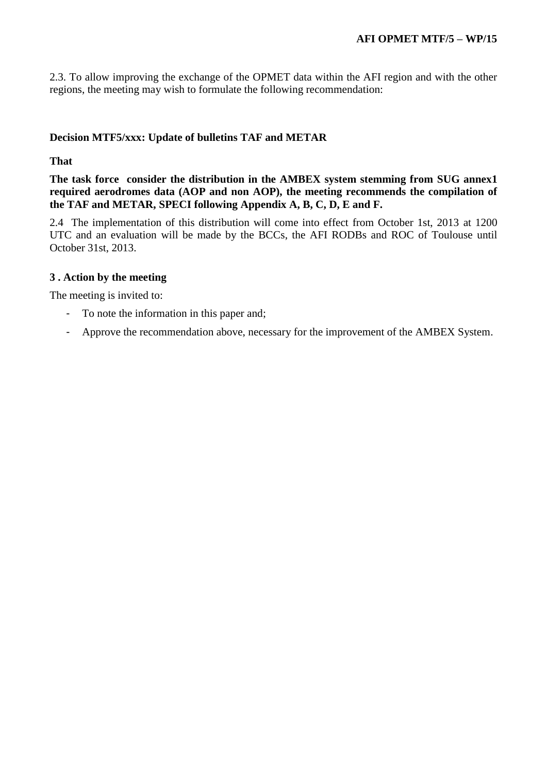2.3. To allow improving the exchange of the OPMET data within the AFI region and with the other regions, the meeting may wish to formulate the following recommendation:

### **Decision MTF5/xxx: Update of bulletins TAF and METAR**

### **That**

**The task force consider the distribution in the AMBEX system stemming from SUG annex1 required aerodromes data (AOP and non AOP), the meeting recommends the compilation of the TAF and METAR, SPECI following Appendix A, B, C, D, E and F.**

2.4 The implementation of this distribution will come into effect from October 1st, 2013 at 1200 UTC and an evaluation will be made by the BCCs, the AFI RODBs and ROC of Toulouse until October 31st, 2013.

#### **3 . Action by the meeting**

The meeting is invited to:

- To note the information in this paper and;
- Approve the recommendation above, necessary for the improvement of the AMBEX System.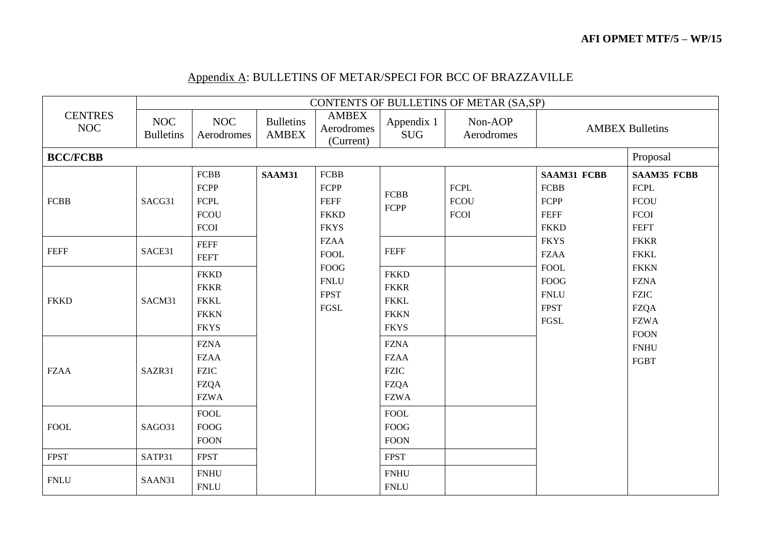# Appendix A: BULLETINS OF METAR/SPECI FOR BCC OF BRAZZAVILLE

|                              |                                |                                                                             |                                  |                                                           |                                                                         | CONTENTS OF BULLETINS OF METAR (SA,SP)    |                                                                          |                                                                                        |
|------------------------------|--------------------------------|-----------------------------------------------------------------------------|----------------------------------|-----------------------------------------------------------|-------------------------------------------------------------------------|-------------------------------------------|--------------------------------------------------------------------------|----------------------------------------------------------------------------------------|
| <b>CENTRES</b><br><b>NOC</b> | <b>NOC</b><br><b>Bulletins</b> | <b>NOC</b><br>Aerodromes                                                    | <b>Bulletins</b><br><b>AMBEX</b> | <b>AMBEX</b><br>Aerodromes<br>(Current)                   | Appendix 1<br><b>SUG</b>                                                | Non-AOP<br>Aerodromes                     |                                                                          | <b>AMBEX Bulletins</b>                                                                 |
| <b>BCC/FCBB</b>              |                                |                                                                             |                                  |                                                           |                                                                         |                                           |                                                                          | Proposal                                                                               |
| <b>FCBB</b>                  | SACG31                         | <b>FCBB</b><br><b>FCPP</b><br>${\mbox{FCPL}}$<br><b>FCOU</b><br><b>FCOI</b> | SAAM31                           | FCBB<br>FCPP<br><b>FEFF</b><br><b>FKKD</b><br><b>FKYS</b> | <b>FCBB</b><br>FCPP                                                     | <b>FCPL</b><br><b>FCOU</b><br><b>FCOI</b> | <b>SAAM31 FCBB</b><br><b>FCBB</b><br>FCPP<br><b>FEFF</b><br><b>FKKD</b>  | <b>SAAM35 FCBB</b><br><b>FCPL</b><br><b>FCOU</b><br>FCOI<br><b>FEFT</b>                |
| <b>FEFF</b>                  | SACE31                         | <b>FEFF</b><br><b>FEFT</b>                                                  |                                  | <b>FZAA</b><br><b>FOOL</b>                                | <b>FEFF</b>                                                             |                                           | <b>FKYS</b><br><b>FZAA</b>                                               | <b>FKKR</b><br><b>FKKL</b>                                                             |
| <b>FKKD</b>                  | SACM31                         | <b>FKKD</b><br><b>FKKR</b><br><b>FKKL</b><br><b>FKKN</b><br><b>FKYS</b>     |                                  | <b>FOOG</b><br><b>FNLU</b><br><b>FPST</b><br><b>FGSL</b>  | <b>FKKD</b><br><b>FKKR</b><br><b>FKKL</b><br><b>FKKN</b><br><b>FKYS</b> |                                           | <b>FOOL</b><br><b>FOOG</b><br><b>FNLU</b><br><b>FPST</b><br>${\rm FGSL}$ | <b>FKKN</b><br><b>FZNA</b><br><b>FZIC</b><br><b>FZQA</b><br><b>FZWA</b><br><b>FOON</b> |
| <b>FZAA</b>                  | SAZR31                         | <b>FZNA</b><br><b>FZAA</b><br><b>FZIC</b><br><b>FZQA</b><br><b>FZWA</b>     |                                  |                                                           | <b>FZNA</b><br><b>FZAA</b><br><b>FZIC</b><br><b>FZQA</b><br><b>FZWA</b> |                                           |                                                                          | <b>FNHU</b><br>FGBT                                                                    |
| <b>FOOL</b>                  | SAGO31                         | <b>FOOL</b><br>${\rm FOOG}$<br><b>FOON</b>                                  |                                  |                                                           | <b>FOOL</b><br><b>FOOG</b><br><b>FOON</b>                               |                                           |                                                                          |                                                                                        |
| <b>FPST</b>                  | SATP31                         | <b>FPST</b>                                                                 |                                  |                                                           | <b>FPST</b>                                                             |                                           |                                                                          |                                                                                        |
| <b>FNLU</b>                  | SAAN31                         | <b>FNHU</b><br>${\sf FINLU}$                                                |                                  |                                                           | <b>FNHU</b><br><b>FNLU</b>                                              |                                           |                                                                          |                                                                                        |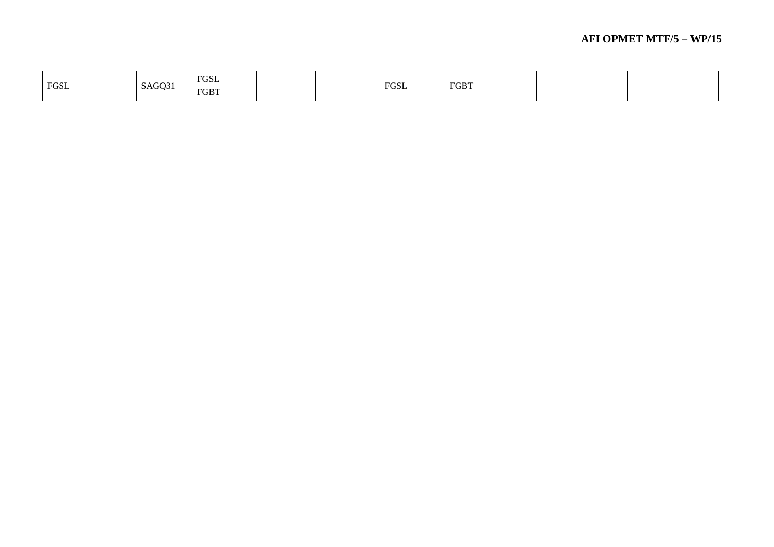| FGSL | SAGQ31 | FGSL<br>FGBT |  | 90SL | <b>FGBT</b> |  |
|------|--------|--------------|--|------|-------------|--|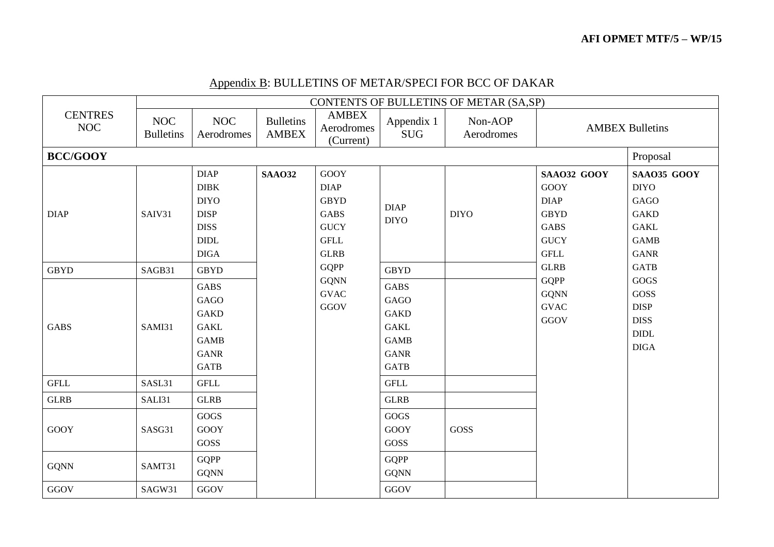|                              |                                |                                                                                                |                                  |                                                                                                |                                                                                                | CONTENTS OF BULLETINS OF METAR (SA,SP) |                                                                                                       |                                                                                                |
|------------------------------|--------------------------------|------------------------------------------------------------------------------------------------|----------------------------------|------------------------------------------------------------------------------------------------|------------------------------------------------------------------------------------------------|----------------------------------------|-------------------------------------------------------------------------------------------------------|------------------------------------------------------------------------------------------------|
| <b>CENTRES</b><br><b>NOC</b> | <b>NOC</b><br><b>Bulletins</b> | <b>NOC</b><br>Aerodromes                                                                       | <b>Bulletins</b><br><b>AMBEX</b> | <b>AMBEX</b><br>Aerodromes<br>(Current)                                                        | Appendix 1<br><b>SUG</b>                                                                       | Non-AOP<br>Aerodromes                  |                                                                                                       | <b>AMBEX Bulletins</b>                                                                         |
| <b>BCC/GOOY</b>              |                                |                                                                                                |                                  |                                                                                                |                                                                                                |                                        |                                                                                                       | Proposal                                                                                       |
| <b>DIAP</b>                  | SAIV31                         | <b>DIAP</b><br>DIBK<br><b>DIYO</b><br><b>DISP</b><br><b>DISS</b><br>DIDL<br><b>DIGA</b>        | <b>SAAO32</b>                    | GOOY<br><b>DIAP</b><br><b>GBYD</b><br><b>GABS</b><br><b>GUCY</b><br><b>GFLL</b><br><b>GLRB</b> | <b>DIAP</b><br><b>DIYO</b>                                                                     | <b>DIYO</b>                            | SAA032 GOOY<br><b>GOOY</b><br><b>DIAP</b><br><b>GBYD</b><br><b>GABS</b><br><b>GUCY</b><br><b>GFLL</b> | SAA035 GOOY<br><b>DIYO</b><br>GAGO<br><b>GAKD</b><br><b>GAKL</b><br><b>GAMB</b><br><b>GANR</b> |
| <b>GBYD</b>                  | SAGB31                         | <b>GBYD</b>                                                                                    |                                  | <b>GQPP</b>                                                                                    | <b>GBYD</b>                                                                                    |                                        | <b>GLRB</b>                                                                                           | <b>GATB</b>                                                                                    |
| <b>GABS</b>                  | SAMI31                         | <b>GABS</b><br>GAGO<br><b>GAKD</b><br><b>GAKL</b><br><b>GAMB</b><br><b>GANR</b><br><b>GATB</b> |                                  | <b>GQNN</b><br><b>GVAC</b><br>GGOV                                                             | <b>GABS</b><br>GAGO<br><b>GAKD</b><br><b>GAKL</b><br><b>GAMB</b><br><b>GANR</b><br><b>GATB</b> |                                        | <b>GQPP</b><br><b>GQNN</b><br><b>GVAC</b><br>GGOV                                                     | GOGS<br>GOSS<br><b>DISP</b><br><b>DISS</b><br>$\ensuremath{\mathrm{DIDL}}$<br><b>DIGA</b>      |
| $\operatorname{GFLL}$        | SASL31                         | <b>GFLL</b>                                                                                    |                                  |                                                                                                | <b>GFLL</b>                                                                                    |                                        |                                                                                                       |                                                                                                |
| <b>GLRB</b>                  | SALI31                         | <b>GLRB</b>                                                                                    |                                  |                                                                                                | <b>GLRB</b>                                                                                    |                                        |                                                                                                       |                                                                                                |
| GOOY                         | SASG31                         | GOGS<br><b>GOOY</b><br>GOSS                                                                    |                                  |                                                                                                | GOGS<br><b>GOOY</b><br>GOSS                                                                    | GOSS                                   |                                                                                                       |                                                                                                |
| <b>GQNN</b>                  | SAMT31                         | <b>GQPP</b><br><b>GQNN</b>                                                                     |                                  |                                                                                                | <b>GQPP</b><br><b>GQNN</b>                                                                     |                                        |                                                                                                       |                                                                                                |
| GGOV                         | SAGW31                         | GGOV                                                                                           |                                  |                                                                                                | GGOV                                                                                           |                                        |                                                                                                       |                                                                                                |

# Appendix B: BULLETINS OF METAR/SPECI FOR BCC OF DAKAR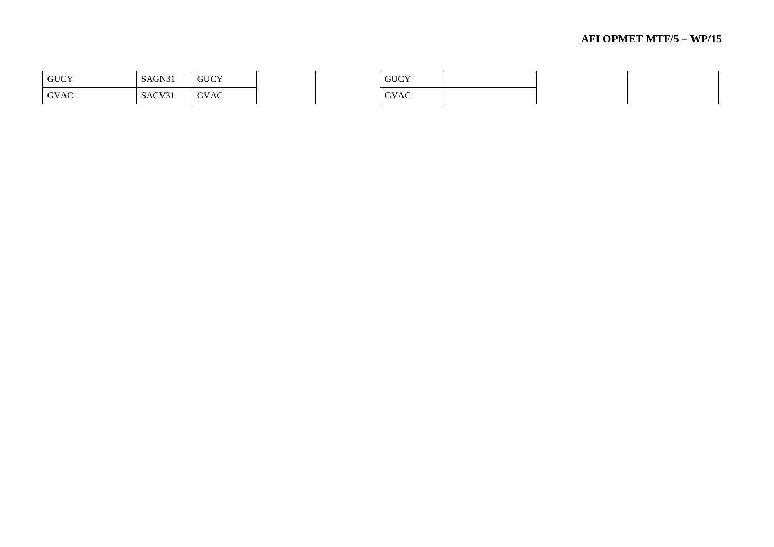| <b>GUCY</b> | SAGN31 | <b>GUCY</b> |  | <b>GUCY</b> |  |
|-------------|--------|-------------|--|-------------|--|
| <b>GVAC</b> | SACV31 | <b>GVAC</b> |  | <b>GVAC</b> |  |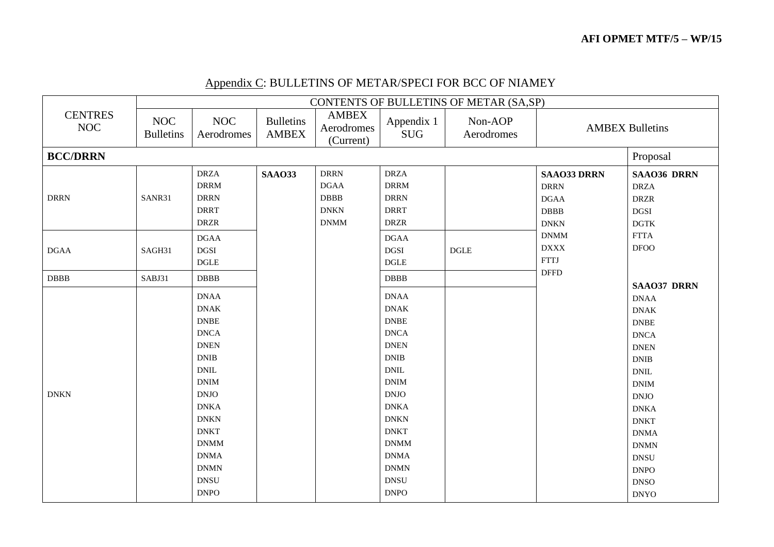|                              |                                | CONTENTS OF BULLETINS OF METAR (SA,SP)     |                                  |                                         |                                            |                       |                        |                              |  |  |  |  |
|------------------------------|--------------------------------|--------------------------------------------|----------------------------------|-----------------------------------------|--------------------------------------------|-----------------------|------------------------|------------------------------|--|--|--|--|
| <b>CENTRES</b><br><b>NOC</b> | <b>NOC</b><br><b>Bulletins</b> | <b>NOC</b><br>Aerodromes                   | <b>Bulletins</b><br><b>AMBEX</b> | <b>AMBEX</b><br>Aerodromes<br>(Current) | Appendix 1<br><b>SUG</b>                   | Non-AOP<br>Aerodromes | <b>AMBEX Bulletins</b> |                              |  |  |  |  |
| <b>BCC/DRRN</b>              |                                |                                            |                                  |                                         |                                            |                       |                        | Proposal                     |  |  |  |  |
|                              |                                | <b>DRZA</b>                                | <b>SAAO33</b>                    | <b>DRRN</b>                             | <b>DRZA</b>                                |                       | <b>SAAO33 DRRN</b>     | <b>SAAO36 DRRN</b>           |  |  |  |  |
|                              |                                | <b>DRRM</b>                                |                                  | $\rm DGAA$                              | <b>DRRM</b>                                |                       | <b>DRRN</b>            | <b>DRZA</b>                  |  |  |  |  |
| <b>DRRN</b>                  | SANR31                         | <b>DRRN</b>                                |                                  | <b>DBBB</b>                             | <b>DRRN</b>                                |                       | <b>DGAA</b>            | <b>DRZR</b>                  |  |  |  |  |
|                              |                                | <b>DRRT</b>                                |                                  | <b>DNKN</b>                             | <b>DRRT</b>                                |                       | <b>DBBB</b>            | $_{\rm DGSI}$                |  |  |  |  |
|                              |                                | $\rm{DRZR}$                                |                                  | <b>DNMM</b>                             | $\rm{DRZR}$                                |                       | <b>DNKN</b>            | <b>DGTK</b>                  |  |  |  |  |
|                              |                                | <b>DGAA</b>                                |                                  |                                         | <b>DGAA</b>                                |                       | <b>DNMM</b>            | <b>FTTA</b>                  |  |  |  |  |
| <b>DGAA</b>                  | SAGH31                         | <b>DGSI</b>                                |                                  |                                         | DGSI                                       | <b>DGLE</b>           | $\mathbf{DXXX}$        | <b>DFOO</b>                  |  |  |  |  |
|                              |                                | $\operatorname{\mathsf{DGLE}}$             |                                  |                                         | $\operatorname{DGLE}$                      |                       | <b>FTTJ</b>            |                              |  |  |  |  |
| <b>DBBB</b>                  | SABJ31                         | $\rm DBBB$                                 |                                  |                                         | DBBB                                       |                       | <b>DFFD</b>            |                              |  |  |  |  |
|                              |                                |                                            |                                  |                                         |                                            |                       |                        | <b>SAAO37 DRRN</b>           |  |  |  |  |
|                              |                                | <b>DNAA</b>                                |                                  |                                         | <b>DNAA</b>                                |                       |                        | <b>DNAA</b>                  |  |  |  |  |
|                              |                                | <b>DNAK</b>                                |                                  |                                         | <b>DNAK</b>                                |                       |                        | <b>DNAK</b>                  |  |  |  |  |
|                              |                                | ${\rm DNEE}$                               |                                  |                                         | $\ensuremath{\mathsf{DNBE}}$               |                       |                        | <b>DNBE</b>                  |  |  |  |  |
|                              |                                | <b>DNCA</b>                                |                                  |                                         | <b>DNCA</b>                                |                       |                        | <b>DNCA</b>                  |  |  |  |  |
|                              |                                | <b>DNEN</b>                                |                                  |                                         | <b>DNEN</b>                                |                       |                        | <b>DNEN</b>                  |  |  |  |  |
|                              |                                | $\mathbf{D}\mathbf{N}\mathbf{I}\mathbf{B}$ |                                  |                                         | $\mathbf{D}\mathbf{N}\mathbf{I}\mathbf{B}$ |                       |                        | <b>DNIB</b>                  |  |  |  |  |
|                              |                                | $\mathbf{DNIL}$                            |                                  |                                         | $\mathbf{DNIL}$                            |                       |                        | $\mathop{\rm DNIL}\nolimits$ |  |  |  |  |
|                              |                                | $\mathbf{DNIM}$                            |                                  |                                         | $\mathbf{DNIM}$                            |                       |                        | <b>DNIM</b>                  |  |  |  |  |
| <b>DNKN</b>                  |                                | <b>DNJO</b>                                |                                  |                                         | $\text{D}\text{N}\text{J}\text{O}$         |                       |                        | <b>DNJO</b>                  |  |  |  |  |
|                              |                                | <b>DNKA</b>                                |                                  |                                         | <b>DNKA</b>                                |                       |                        | <b>DNKA</b>                  |  |  |  |  |
|                              |                                | <b>DNKN</b>                                |                                  |                                         | $\mathop{\rm DNKN}\nolimits$               |                       |                        | <b>DNKT</b>                  |  |  |  |  |
|                              |                                | <b>DNKT</b>                                |                                  |                                         | <b>DNKT</b>                                |                       |                        | <b>DNMA</b>                  |  |  |  |  |
|                              |                                | <b>DNMM</b>                                |                                  |                                         | $\mathbf{DNMM}$                            |                       |                        | <b>DNMN</b>                  |  |  |  |  |
|                              |                                | <b>DNMA</b>                                |                                  |                                         | <b>DNMA</b>                                |                       |                        | <b>DNSU</b>                  |  |  |  |  |
|                              |                                | <b>DNMN</b>                                |                                  |                                         | <b>DNMN</b>                                |                       |                        | <b>DNPO</b>                  |  |  |  |  |
|                              |                                | <b>DNSU</b>                                |                                  |                                         | ${\rm DNSU}$                               |                       |                        | <b>DNSO</b>                  |  |  |  |  |
|                              |                                | $\ensuremath{\mathrm{D NPO}}$              |                                  |                                         | <b>DNPO</b>                                |                       |                        | <b>DNYO</b>                  |  |  |  |  |

# Appendix C: BULLETINS OF METAR/SPECI FOR BCC OF NIAMEY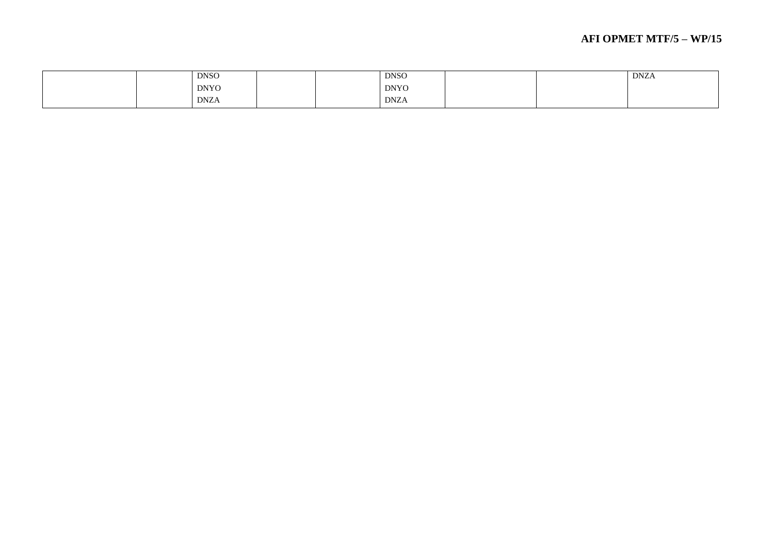#### **AFI OPMET MTF/5 – WP/1 5**

| <b>DNSO</b>                                                    |  | <b>DNSO</b>                                                    |  | <b>DNZA</b> |
|----------------------------------------------------------------|--|----------------------------------------------------------------|--|-------------|
| <b>DNYO</b>                                                    |  | <b>DNYO</b>                                                    |  |             |
| <b>DNZA</b><br>the contract of the contract of the contract of |  | <b>DNZA</b><br>the contract of the contract of the contract of |  |             |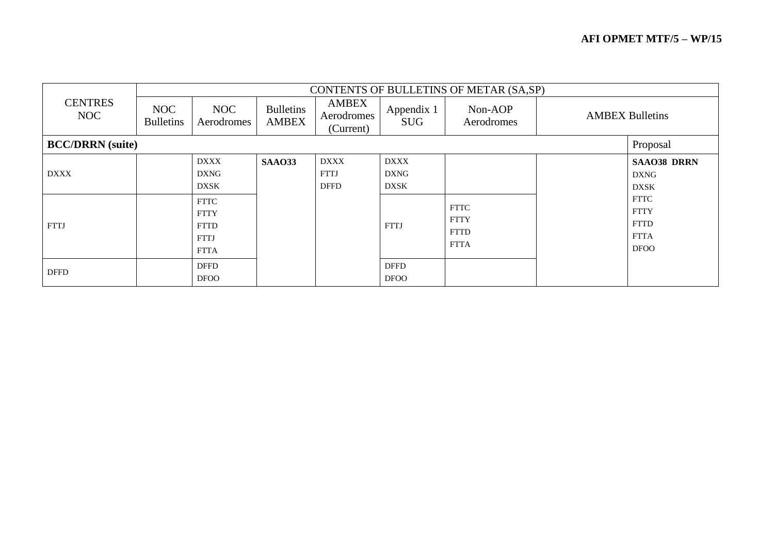|                         |                         |                                                                         |                                  |                                           |                                           | CONTENTS OF BULLETINS OF METAR (SA,SP)                   |                                                                         |
|-------------------------|-------------------------|-------------------------------------------------------------------------|----------------------------------|-------------------------------------------|-------------------------------------------|----------------------------------------------------------|-------------------------------------------------------------------------|
| <b>CENTRES</b><br>NOC   | NOC<br><b>Bulletins</b> | NOC<br>Aerodromes                                                       | <b>Bulletins</b><br><b>AMBEX</b> | <b>AMBEX</b><br>Aerodromes<br>(Current)   | Appendix 1<br><b>SUG</b>                  | Non-AOP<br>Aerodromes                                    | <b>AMBEX Bulletins</b>                                                  |
| <b>BCC/DRRN</b> (suite) |                         |                                                                         |                                  |                                           |                                           |                                                          | Proposal                                                                |
| <b>DXXX</b>             |                         | <b>DXXX</b><br><b>DXNG</b><br><b>DXSK</b>                               | <b>SAA033</b>                    | <b>DXXX</b><br><b>FTTJ</b><br><b>DFFD</b> | <b>DXXX</b><br><b>DXNG</b><br><b>DXSK</b> |                                                          | <b>SAAO38 DRRN</b><br><b>DXNG</b><br><b>DXSK</b>                        |
| <b>FTTJ</b>             |                         | <b>FTTC</b><br><b>FTTY</b><br><b>FTTD</b><br><b>FTTJ</b><br><b>FTTA</b> |                                  |                                           | <b>FTTJ</b>                               | <b>FTTC</b><br><b>FTTY</b><br><b>FTTD</b><br><b>FTTA</b> | <b>FTTC</b><br><b>FTTY</b><br><b>FTTD</b><br><b>FTTA</b><br><b>DFOO</b> |
| <b>DFFD</b>             |                         | <b>DFFD</b><br><b>DFOO</b>                                              |                                  |                                           | <b>DFFD</b><br><b>DFOO</b>                |                                                          |                                                                         |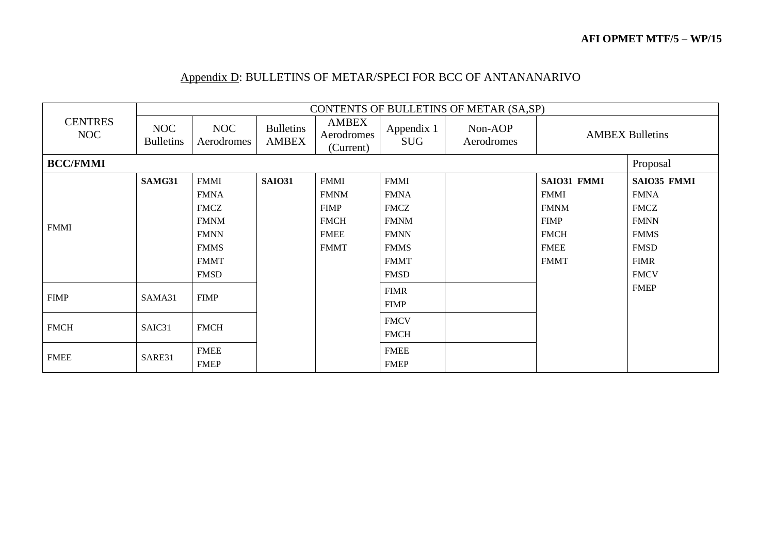### Appendix D: BULLETINS OF METAR/SPECI FOR BCC OF ANTANANARIVO

|                       |                         |                   |                                  |                                         |                          | CONTENTS OF BULLETINS OF METAR (SA,SP) |             |                        |
|-----------------------|-------------------------|-------------------|----------------------------------|-----------------------------------------|--------------------------|----------------------------------------|-------------|------------------------|
| <b>CENTRES</b><br>NOC | NOC<br><b>Bulletins</b> | NOC<br>Aerodromes | <b>Bulletins</b><br><b>AMBEX</b> | <b>AMBEX</b><br>Aerodromes<br>(Current) | Appendix 1<br><b>SUG</b> | Non-AOP<br>Aerodromes                  |             | <b>AMBEX Bulletins</b> |
| <b>BCC/FMMI</b>       |                         |                   |                                  |                                         |                          |                                        |             | Proposal               |
|                       | SAMG31                  | <b>FMMI</b>       | <b>SAIO31</b>                    | <b>FMMI</b>                             | <b>FMMI</b>              |                                        | SAIO31 FMMI | SAIO35 FMMI            |
|                       |                         | <b>FMNA</b>       |                                  | <b>FMNM</b>                             | <b>FMNA</b>              |                                        | <b>FMMI</b> | <b>FMNA</b>            |
|                       |                         | <b>FMCZ</b>       |                                  | <b>FIMP</b>                             | <b>FMCZ</b>              |                                        | <b>FMNM</b> | <b>FMCZ</b>            |
| <b>FMMI</b>           |                         | <b>FMNM</b>       |                                  | <b>FMCH</b>                             | <b>FMNM</b>              |                                        | <b>FIMP</b> | <b>FMNN</b>            |
|                       |                         | <b>FMNN</b>       |                                  | <b>FMEE</b>                             | <b>FMNN</b>              |                                        | <b>FMCH</b> | <b>FMMS</b>            |
|                       |                         | <b>FMMS</b>       |                                  | <b>FMMT</b>                             | <b>FMMS</b>              |                                        | <b>FMEE</b> | <b>FMSD</b>            |
|                       |                         | <b>FMMT</b>       |                                  |                                         | <b>FMMT</b>              |                                        | <b>FMMT</b> | <b>FIMR</b>            |
|                       |                         | <b>FMSD</b>       |                                  |                                         | <b>FMSD</b>              |                                        |             | <b>FMCV</b>            |
|                       |                         |                   |                                  |                                         | <b>FIMR</b>              |                                        |             | <b>FMEP</b>            |
| <b>FIMP</b>           | SAMA31                  | <b>FIMP</b>       |                                  |                                         | <b>FIMP</b>              |                                        |             |                        |
|                       |                         |                   |                                  |                                         | <b>FMCV</b>              |                                        |             |                        |
| <b>FMCH</b>           | SAIC31                  | <b>FMCH</b>       |                                  |                                         | <b>FMCH</b>              |                                        |             |                        |
|                       |                         | <b>FMEE</b>       |                                  |                                         | <b>FMEE</b>              |                                        |             |                        |
| <b>FMEE</b>           | SARE31                  | <b>FMEP</b>       |                                  |                                         | <b>FMEP</b>              |                                        |             |                        |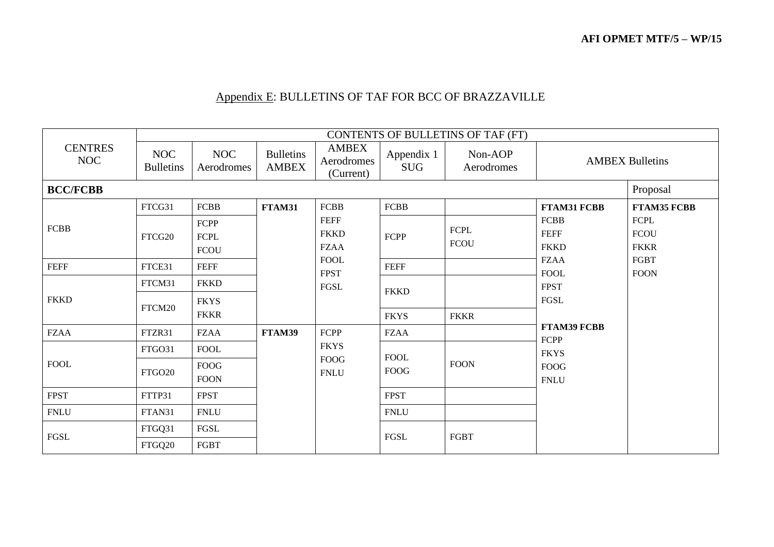# Appendix E: BULLETINS OF TAF FOR BCC OF BRAZZAVILLE

|                       |                                |                                    |                                  |                                           |                          | CONTENTS OF BULLETINS OF TAF (FT) |                                           |                                           |
|-----------------------|--------------------------------|------------------------------------|----------------------------------|-------------------------------------------|--------------------------|-----------------------------------|-------------------------------------------|-------------------------------------------|
| <b>CENTRES</b><br>NOC | <b>NOC</b><br><b>Bulletins</b> | NOC<br>Aerodromes                  | <b>Bulletins</b><br><b>AMBEX</b> | <b>AMBEX</b><br>Aerodromes<br>(Current)   | Appendix 1<br><b>SUG</b> | Non-AOP<br>Aerodromes             |                                           | <b>AMBEX Bulletins</b>                    |
| <b>BCC/FCBB</b>       |                                |                                    |                                  |                                           |                          |                                   |                                           | Proposal                                  |
|                       | FTCG31                         | <b>FCBB</b>                        | FTAM31                           | <b>FCBB</b>                               | <b>FCBB</b>              |                                   | <b>FTAM31 FCBB</b>                        | <b>FTAM35 FCBB</b>                        |
| <b>FCBB</b>           | FTCG20                         | FCPP<br><b>FCPL</b><br><b>FCOU</b> |                                  | <b>FEFF</b><br><b>FKKD</b><br><b>FZAA</b> | FCPP                     | <b>FCPL</b><br><b>FCOU</b>        | <b>FCBB</b><br><b>FEFF</b><br><b>FKKD</b> | <b>FCPL</b><br><b>FCOU</b><br><b>FKKR</b> |
| <b>FEFF</b>           | FTCE31                         | <b>FEFF</b>                        |                                  | <b>FOOL</b><br><b>FPST</b>                | <b>FEFF</b>              |                                   | <b>FZAA</b><br><b>FOOL</b>                | FGBT<br><b>FOON</b>                       |
| <b>FKKD</b>           | FTCM31                         | <b>FKKD</b>                        |                                  | <b>FGSL</b>                               | <b>FKKD</b>              |                                   | <b>FPST</b>                               |                                           |
|                       | FTCM20                         | <b>FKYS</b><br><b>FKKR</b>         |                                  |                                           | <b>FKYS</b>              | <b>FKKR</b>                       | FGSL                                      |                                           |
| <b>FZAA</b>           | FTZR31                         | <b>FZAA</b>                        | FTAM39                           | FCPP                                      | <b>FZAA</b>              |                                   | <b>FTAM39 FCBB</b><br>FCPP                |                                           |
|                       | FTGO31                         | <b>FOOL</b>                        |                                  | <b>FKYS</b>                               | <b>FOOL</b>              |                                   | <b>FKYS</b>                               |                                           |
| <b>FOOL</b>           | FTGO20                         | <b>FOOG</b><br><b>FOON</b>         |                                  | <b>FOOG</b><br><b>FNLU</b>                | <b>FOOG</b>              | <b>FOON</b>                       | <b>FOOG</b><br>${\sf FINLU}$              |                                           |
| <b>FPST</b>           | FTTP31                         | <b>FPST</b>                        |                                  |                                           | <b>FPST</b>              |                                   |                                           |                                           |
| <b>FNLU</b>           | FTAN31                         | ${\sf FINLU}$                      |                                  |                                           | ${\hbox{FNLU}}$          |                                   |                                           |                                           |
| ${\rm FGSL}$          | FTGQ31                         | FGSL                               |                                  |                                           | FGSL                     | <b>FGBT</b>                       |                                           |                                           |
|                       | FTGQ20                         | FGBT                               |                                  |                                           |                          |                                   |                                           |                                           |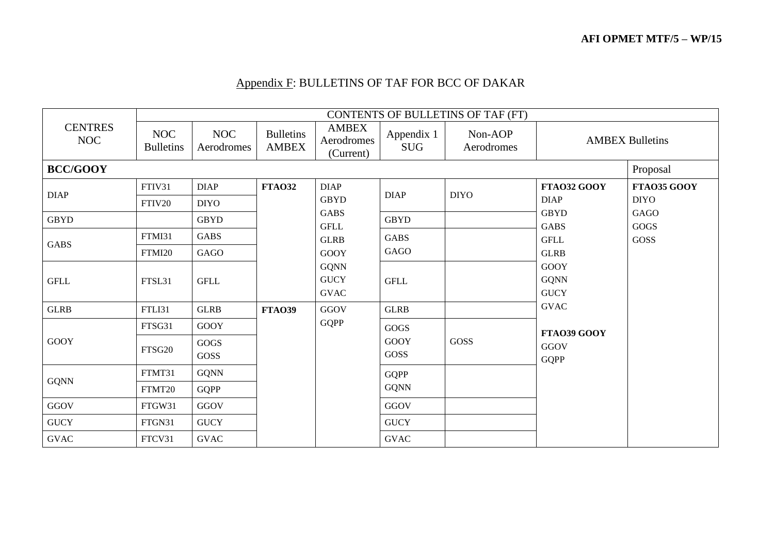# Appendix F: BULLETINS OF TAF FOR BCC OF DAKAR

|                       |                                |                          |                                  |                                           |                          | CONTENTS OF BULLETINS OF TAF (FT) |                                           |                        |
|-----------------------|--------------------------------|--------------------------|----------------------------------|-------------------------------------------|--------------------------|-----------------------------------|-------------------------------------------|------------------------|
| <b>CENTRES</b><br>NOC | <b>NOC</b><br><b>Bulletins</b> | <b>NOC</b><br>Aerodromes | <b>Bulletins</b><br><b>AMBEX</b> | <b>AMBEX</b><br>Aerodromes<br>(Current)   | Appendix 1<br><b>SUG</b> | Non-AOP<br>Aerodromes             |                                           | <b>AMBEX Bulletins</b> |
| <b>BCC/GOOY</b>       |                                |                          |                                  |                                           |                          |                                   |                                           | Proposal               |
| <b>DIAP</b>           | FTIV31                         | <b>DIAP</b>              | <b>FTA032</b>                    | <b>DIAP</b>                               | <b>DIAP</b>              | <b>DIYO</b>                       | FTA032 GOOY                               | FTA035 GOOY            |
|                       | FTIV20                         | <b>DIYO</b>              |                                  | <b>GBYD</b>                               |                          |                                   | <b>DIAP</b>                               | <b>DIYO</b>            |
| <b>GBYD</b>           |                                | <b>GBYD</b>              |                                  | <b>GABS</b>                               | <b>GBYD</b>              |                                   | <b>GBYD</b><br><b>GABS</b>                | GAGO<br><b>GOGS</b>    |
|                       | FTMI31                         | <b>GABS</b>              |                                  | <b>GFLL</b><br><b>GLRB</b>                | <b>GABS</b>              |                                   | <b>GFLL</b>                               | GOSS                   |
| <b>GABS</b>           | FTMI20                         | GAGO                     |                                  | <b>GOOY</b>                               | GAGO                     |                                   | <b>GLRB</b>                               |                        |
| <b>GFLL</b>           | FTSL31                         | <b>GFLL</b>              |                                  | <b>GQNN</b><br><b>GUCY</b><br><b>GVAC</b> | <b>GFLL</b>              |                                   | <b>GOOY</b><br><b>GQNN</b><br><b>GUCY</b> |                        |
| <b>GLRB</b>           | FTLI31                         | <b>GLRB</b>              | <b>FTA039</b>                    | GGOV                                      | <b>GLRB</b>              |                                   | <b>GVAC</b>                               |                        |
|                       | FTSG31                         | <b>GOOY</b>              |                                  | <b>GQPP</b>                               | GOGS                     |                                   | FTA039 GOOY                               |                        |
| <b>GOOY</b>           | FTSG20                         | $\rm GOGS$<br>GOSS       |                                  |                                           | <b>GOOY</b><br>GOSS      | GOSS                              | GGOV<br><b>GQPP</b>                       |                        |
|                       | FTMT31                         | <b>GQNN</b>              |                                  |                                           | <b>GQPP</b>              |                                   |                                           |                        |
| <b>GQNN</b>           | FTMT20                         | <b>GQPP</b>              |                                  |                                           | <b>GQNN</b>              |                                   |                                           |                        |
| $_{\mathrm{GGOV}}$    | FTGW31                         | GGOV                     |                                  |                                           | GGOV                     |                                   |                                           |                        |
| <b>GUCY</b>           | FTGN31                         | <b>GUCY</b>              |                                  |                                           | <b>GUCY</b>              |                                   |                                           |                        |
| <b>GVAC</b>           | FTCV31                         | <b>GVAC</b>              |                                  |                                           | <b>GVAC</b>              |                                   |                                           |                        |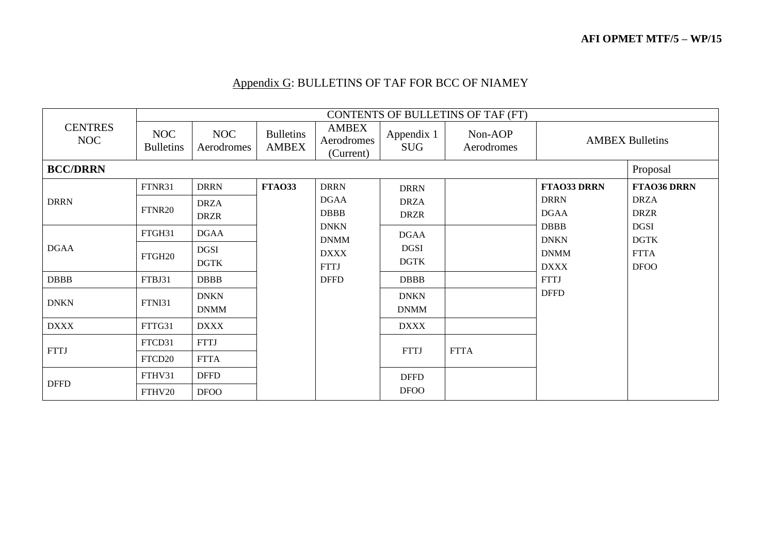# Appendix G: BULLETINS OF TAF FOR BCC OF NIAMEY

|                       |                         |                            |                                  |                                         |                            | CONTENTS OF BULLETINS OF TAF (FT) |                            |                            |
|-----------------------|-------------------------|----------------------------|----------------------------------|-----------------------------------------|----------------------------|-----------------------------------|----------------------------|----------------------------|
| <b>CENTRES</b><br>NOC | NOC<br><b>Bulletins</b> | NOC<br>Aerodromes          | <b>Bulletins</b><br><b>AMBEX</b> | <b>AMBEX</b><br>Aerodromes<br>(Current) | Appendix 1<br><b>SUG</b>   | Non-AOP<br>Aerodromes             |                            | <b>AMBEX Bulletins</b>     |
| <b>BCC/DRRN</b>       |                         |                            |                                  |                                         |                            |                                   |                            | Proposal                   |
|                       | FTNR31                  | <b>DRRN</b>                | <b>FTA033</b>                    | <b>DRRN</b>                             | <b>DRRN</b>                |                                   | <b>FTAO33 DRRN</b>         | <b>FTAO36 DRRN</b>         |
| <b>DRRN</b>           | FTNR20                  | <b>DRZA</b><br><b>DRZR</b> |                                  | <b>DGAA</b><br><b>DBBB</b>              | <b>DRZA</b><br><b>DRZR</b> |                                   | <b>DRRN</b><br><b>DGAA</b> | <b>DRZA</b><br><b>DRZR</b> |
|                       | FTGH31                  | <b>DGAA</b>                |                                  | <b>DNKN</b><br><b>DNMM</b>              | <b>DGAA</b>                |                                   | <b>DBBB</b><br><b>DNKN</b> | <b>DGSI</b><br><b>DGTK</b> |
| <b>DGAA</b>           | FTGH <sub>20</sub>      | <b>DGSI</b><br><b>DGTK</b> |                                  | <b>DXXX</b><br><b>FTTJ</b>              | <b>DGSI</b><br><b>DGTK</b> |                                   | <b>DNMM</b><br><b>DXXX</b> | <b>FTTA</b><br><b>DFOO</b> |
| <b>DBBB</b>           | FTBJ31                  | <b>DBBB</b>                |                                  | <b>DFFD</b>                             | <b>DBBB</b>                |                                   | <b>FTTJ</b>                |                            |
| <b>DNKN</b>           | FTNI31                  | <b>DNKN</b><br><b>DNMM</b> |                                  |                                         | <b>DNKN</b><br><b>DNMM</b> |                                   | <b>DFFD</b>                |                            |
| <b>DXXX</b>           | FTTG31                  | <b>DXXX</b>                |                                  |                                         | <b>DXXX</b>                |                                   |                            |                            |
| <b>FTTJ</b>           | FTCD31                  | <b>FTTJ</b>                |                                  |                                         | <b>FTTJ</b>                | <b>FTTA</b>                       |                            |                            |
|                       | FTCD20                  | <b>FTTA</b>                |                                  |                                         |                            |                                   |                            |                            |
| <b>DFFD</b>           | FTHV31                  | <b>DFFD</b>                |                                  |                                         | <b>DFFD</b>                |                                   |                            |                            |
|                       | FTHV20                  | <b>DFOO</b>                |                                  |                                         | <b>DFOO</b>                |                                   |                            |                            |